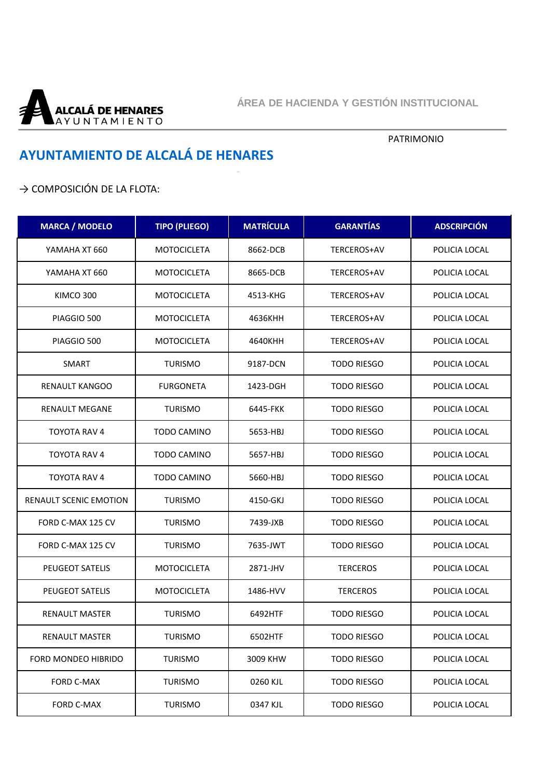

## PATRIMONIO

## **AYUNTAMIENTO DE ALCALÁ DE HENARES**

## → COMPOSICIÓN DE LA FLOTA:

| <b>MARCA / MODELO</b>         | <b>TIPO (PLIEGO)</b> | <b>MATRÍCULA</b> | <b>GARANTÍAS</b>   | <b>ADSCRIPCIÓN</b> |
|-------------------------------|----------------------|------------------|--------------------|--------------------|
| YAMAHA XT 660                 | <b>MOTOCICLETA</b>   | 8662-DCB         | TERCEROS+AV        | POLICIA LOCAL      |
| YAMAHA XT 660                 | <b>MOTOCICLETA</b>   | 8665-DCB         | TERCEROS+AV        | POLICIA LOCAL      |
| KIMCO 300                     | <b>MOTOCICLETA</b>   | 4513-KHG         | TERCEROS+AV        | POLICIA LOCAL      |
| PIAGGIO 500                   | <b>MOTOCICLETA</b>   | 4636KHH          | TERCEROS+AV        | POLICIA LOCAL      |
| PIAGGIO 500                   | <b>MOTOCICLETA</b>   | 4640KHH          | TERCEROS+AV        | POLICIA LOCAL      |
| SMART                         | <b>TURISMO</b>       | 9187-DCN         | <b>TODO RIESGO</b> | POLICIA LOCAL      |
| RENAULT KANGOO                | <b>FURGONETA</b>     | 1423-DGH         | <b>TODO RIESGO</b> | POLICIA LOCAL      |
| <b>RENAULT MEGANE</b>         | <b>TURISMO</b>       | 6445-FKK         | <b>TODO RIESGO</b> | POLICIA LOCAL      |
| TOYOTA RAV 4                  | <b>TODO CAMINO</b>   | 5653-HBJ         | <b>TODO RIESGO</b> | POLICIA LOCAL      |
| TOYOTA RAV 4                  | <b>TODO CAMINO</b>   | 5657-HBJ         | <b>TODO RIESGO</b> | POLICIA LOCAL      |
| TOYOTA RAV 4                  | TODO CAMINO          | 5660-HBJ         | <b>TODO RIESGO</b> | POLICIA LOCAL      |
| <b>RENAULT SCENIC EMOTION</b> | <b>TURISMO</b>       | 4150-GKJ         | <b>TODO RIESGO</b> | POLICIA LOCAL      |
| FORD C-MAX 125 CV             | <b>TURISMO</b>       | 7439-JXB         | <b>TODO RIESGO</b> | POLICIA LOCAL      |
| FORD C-MAX 125 CV             | <b>TURISMO</b>       | 7635-JWT         | <b>TODO RIESGO</b> | POLICIA LOCAL      |
| <b>PEUGEOT SATELIS</b>        | <b>MOTOCICLETA</b>   | 2871-JHV         | <b>TERCEROS</b>    | POLICIA LOCAL      |
| PEUGEOT SATELIS               | <b>MOTOCICLETA</b>   | 1486-HVV         | <b>TERCEROS</b>    | POLICIA LOCAL      |
| <b>RENAULT MASTER</b>         | <b>TURISMO</b>       | 6492HTF          | <b>TODO RIESGO</b> | POLICIA LOCAL      |
| <b>RENAULT MASTER</b>         | <b>TURISMO</b>       | 6502HTF          | <b>TODO RIESGO</b> | POLICIA LOCAL      |
| FORD MONDEO HIBRIDO           | <b>TURISMO</b>       | 3009 KHW         | <b>TODO RIESGO</b> | POLICIA LOCAL      |
| FORD C-MAX                    | <b>TURISMO</b>       | 0260 KJL         | <b>TODO RIESGO</b> | POLICIA LOCAL      |
| FORD C-MAX                    | <b>TURISMO</b>       | 0347 KJL         | <b>TODO RIESGO</b> | POLICIA LOCAL      |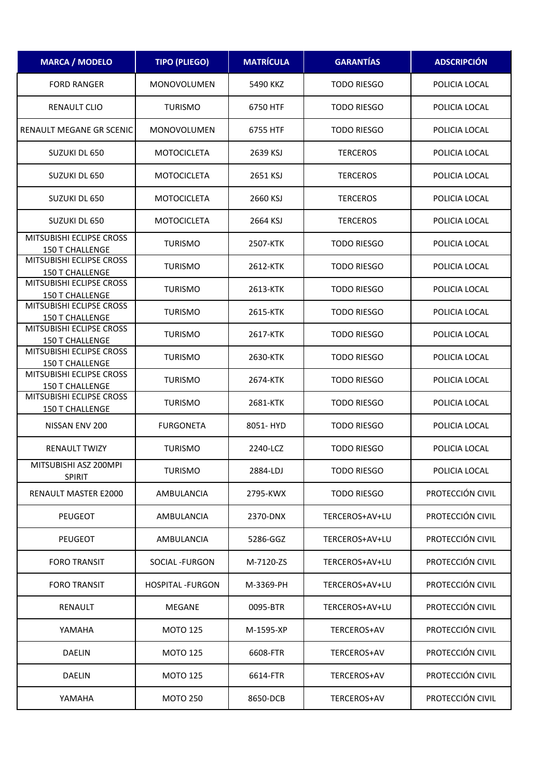| <b>MARCA / MODELO</b>                              | <b>TIPO (PLIEGO)</b>    | <b>MATRÍCULA</b> | <b>GARANTÍAS</b>   | <b>ADSCRIPCIÓN</b> |
|----------------------------------------------------|-------------------------|------------------|--------------------|--------------------|
| <b>FORD RANGER</b>                                 | <b>MONOVOLUMEN</b>      | 5490 KKZ         | <b>TODO RIESGO</b> | POLICIA LOCAL      |
| <b>RENAULT CLIO</b>                                | <b>TURISMO</b>          | 6750 HTF         | <b>TODO RIESGO</b> | POLICIA LOCAL      |
| <b>RENAULT MEGANE GR SCENIC</b>                    | <b>MONOVOLUMEN</b>      | 6755 HTF         | <b>TODO RIESGO</b> | POLICIA LOCAL      |
| SUZUKI DL 650                                      | <b>MOTOCICLETA</b>      | 2639 KSJ         | <b>TERCEROS</b>    | POLICIA LOCAL      |
| SUZUKI DL 650                                      | <b>MOTOCICLETA</b>      | 2651 KSJ         | <b>TERCEROS</b>    | POLICIA LOCAL      |
| SUZUKI DL 650                                      | <b>MOTOCICLETA</b>      | 2660 KSJ         | <b>TERCEROS</b>    | POLICIA LOCAL      |
| SUZUKI DL 650                                      | <b>MOTOCICLETA</b>      | 2664 KSJ         | <b>TERCEROS</b>    | POLICIA LOCAL      |
| MITSUBISHI ECLIPSE CROSS<br>150 T CHALLENGE        | <b>TURISMO</b>          | 2507-KTK         | <b>TODO RIESGO</b> | POLICIA LOCAL      |
| MITSUBISHI ECLIPSE CROSS<br>150 T CHALLENGE        | <b>TURISMO</b>          | 2612-KTK         | <b>TODO RIESGO</b> | POLICIA LOCAL      |
| MITSUBISHI ECLIPSE CROSS<br><b>150 T CHALLENGE</b> | <b>TURISMO</b>          | 2613-KTK         | <b>TODO RIESGO</b> | POLICIA LOCAL      |
| MITSUBISHI ECLIPSE CROSS<br>150 T CHALLENGE        | <b>TURISMO</b>          | 2615-KTK         | <b>TODO RIESGO</b> | POLICIA LOCAL      |
| MITSUBISHI ECLIPSE CROSS<br><b>150 T CHALLENGE</b> | <b>TURISMO</b>          | 2617-KTK         | <b>TODO RIESGO</b> | POLICIA LOCAL      |
| MITSUBISHI ECLIPSE CROSS<br><b>150 T CHALLENGE</b> | <b>TURISMO</b>          | 2630-KTK         | <b>TODO RIESGO</b> | POLICIA LOCAL      |
| MITSUBISHI ECLIPSE CROSS<br><b>150 T CHALLENGE</b> | <b>TURISMO</b>          | 2674-KTK         | <b>TODO RIESGO</b> | POLICIA LOCAL      |
| MITSUBISHI ECLIPSE CROSS<br><b>150 T CHALLENGE</b> | <b>TURISMO</b>          | 2681-KTK         | <b>TODO RIESGO</b> | POLICIA LOCAL      |
| NISSAN ENV 200                                     | <b>FURGONETA</b>        | 8051-HYD         | <b>TODO RIESGO</b> | POLICIA LOCAL      |
| <b>RENAULT TWIZY</b>                               | <b>TURISMO</b>          | 2240-LCZ         | <b>TODO RIESGO</b> | POLICIA LOCAL      |
| MITSUBISHI ASZ 200MPI<br><b>SPIRIT</b>             | <b>TURISMO</b>          | 2884-LDJ         | <b>TODO RIESGO</b> | POLICIA LOCAL      |
| RENAULT MASTER E2000                               | AMBULANCIA              | 2795-KWX         | <b>TODO RIESGO</b> | PROTECCIÓN CIVIL   |
| PEUGEOT                                            | AMBULANCIA              | 2370-DNX         | TERCEROS+AV+LU     | PROTECCIÓN CIVIL   |
| <b>PEUGEOT</b>                                     | AMBULANCIA              | 5286-GGZ         | TERCEROS+AV+LU     | PROTECCIÓN CIVIL   |
| <b>FORO TRANSIT</b>                                | SOCIAL - FURGON         | M-7120-ZS        | TERCEROS+AV+LU     | PROTECCIÓN CIVIL   |
| <b>FORO TRANSIT</b>                                | <b>HOSPITAL -FURGON</b> | M-3369-PH        | TERCEROS+AV+LU     | PROTECCIÓN CIVIL   |
| RENAULT                                            | MEGANE                  | 0095-BTR         | TERCEROS+AV+LU     | PROTECCIÓN CIVIL   |
| YAMAHA                                             | <b>MOTO 125</b>         | M-1595-XP        | TERCEROS+AV        | PROTECCIÓN CIVIL   |
| <b>DAELIN</b>                                      | <b>MOTO 125</b>         | 6608-FTR         | TERCEROS+AV        | PROTECCIÓN CIVIL   |
| <b>DAELIN</b>                                      | <b>MOTO 125</b>         | 6614-FTR         | TERCEROS+AV        | PROTECCIÓN CIVIL   |
| YAMAHA                                             | <b>MOTO 250</b>         | 8650-DCB         | TERCEROS+AV        | PROTECCIÓN CIVIL   |